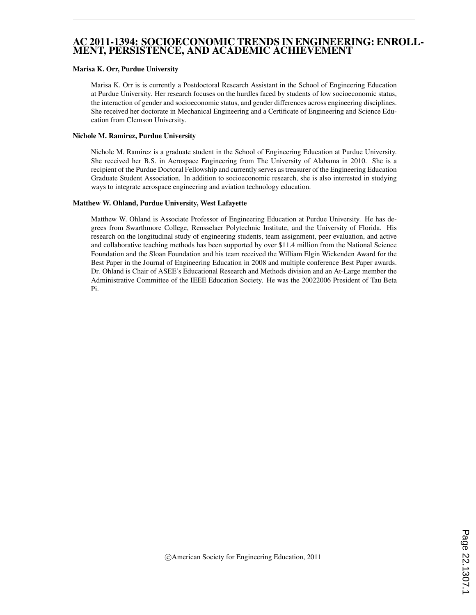## AC 2011-1394: SOCIOECONOMIC TRENDS IN ENGINEERING: ENROLL-MENT, PERSISTENCE, AND ACADEMIC ACHIEVEMENT

#### Marisa K. Orr, Purdue University

Marisa K. Orr is is currently a Postdoctoral Research Assistant in the School of Engineering Education at Purdue University. Her research focuses on the hurdles faced by students of low socioeconomic status, the interaction of gender and socioeconomic status, and gender differences across engineering disciplines. She received her doctorate in Mechanical Engineering and a Certificate of Engineering and Science Education from Clemson University.

#### Nichole M. Ramirez, Purdue University

Nichole M. Ramirez is a graduate student in the School of Engineering Education at Purdue University. She received her B.S. in Aerospace Engineering from The University of Alabama in 2010. She is a recipient of the Purdue Doctoral Fellowship and currently serves as treasurer of the Engineering Education Graduate Student Association. In addition to socioeconomic research, she is also interested in studying ways to integrate aerospace engineering and aviation technology education.

#### Matthew W. Ohland, Purdue University, West Lafayette

Matthew W. Ohland is Associate Professor of Engineering Education at Purdue University. He has degrees from Swarthmore College, Rensselaer Polytechnic Institute, and the University of Florida. His research on the longitudinal study of engineering students, team assignment, peer evaluation, and active and collaborative teaching methods has been supported by over \$11.4 million from the National Science Foundation and the Sloan Foundation and his team received the William Elgin Wickenden Award for the Best Paper in the Journal of Engineering Education in 2008 and multiple conference Best Paper awards. Dr. Ohland is Chair of ASEE's Educational Research and Methods division and an At-Large member the Administrative Committee of the IEEE Education Society. He was the 20022006 President of Tau Beta Pi.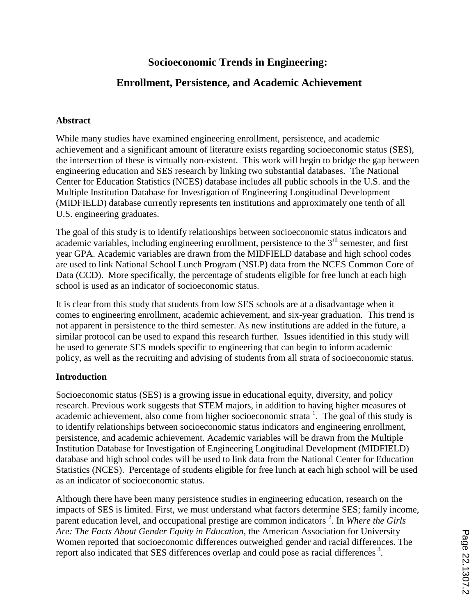# **Socioeconomic Trends in Engineering:**

# **Enrollment, Persistence, and Academic Achievement**

# **Abstract**

While many studies have examined engineering enrollment, persistence, and academic achievement and a significant amount of literature exists regarding socioeconomic status (SES), the intersection of these is virtually non-existent. This work will begin to bridge the gap between engineering education and SES research by linking two substantial databases. The National Center for Education Statistics (NCES) database includes all public schools in the U.S. and the Multiple Institution Database for Investigation of Engineering Longitudinal Development (MIDFIELD) database currently represents ten institutions and approximately one tenth of all U.S. engineering graduates.

The goal of this study is to identify relationships between socioeconomic status indicators and academic variables, including engineering enrollment, persistence to the 3<sup>rd</sup> semester, and first year GPA. Academic variables are drawn from the MIDFIELD database and high school codes are used to link National School Lunch Program (NSLP) data from the NCES Common Core of Data (CCD). More specifically, the percentage of students eligible for free lunch at each high school is used as an indicator of socioeconomic status.

It is clear from this study that students from low SES schools are at a disadvantage when it comes to engineering enrollment, academic achievement, and six-year graduation. This trend is not apparent in persistence to the third semester. As new institutions are added in the future, a similar protocol can be used to expand this research further. Issues identified in this study will be used to generate SES models specific to engineering that can begin to inform academic policy, as well as the recruiting and advising of students from all strata of socioeconomic status.

# **Introduction**

Socioeconomic status (SES) is a growing issue in educational equity, diversity, and policy research. Previous work suggests that STEM majors, in addition to having higher measures of academic achievement, also come from higher socioeconomic strata  $<sup>1</sup>$ . The goal of this study is</sup> to identify relationships between socioeconomic status indicators and engineering enrollment, persistence, and academic achievement. Academic variables will be drawn from the Multiple Institution Database for Investigation of Engineering Longitudinal Development (MIDFIELD) database and high school codes will be used to link data from the National Center for Education Statistics (NCES). Percentage of students eligible for free lunch at each high school will be used as an indicator of socioeconomic status.

Although there have been many persistence studies in engineering education, research on the impacts of SES is limited. First, we must understand what factors determine SES; family income, parent education level, and occupational prestige are common indicators<sup>2</sup>. In *Where the Girls Are: The Facts About Gender Equity in Education*, the American Association for University Women reported that socioeconomic differences outweighed gender and racial differences. The report also indicated that SES differences overlap and could pose as racial differences<sup>3</sup>.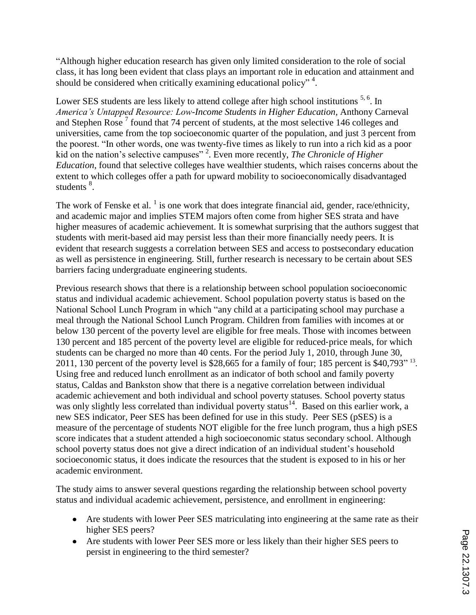"Although higher education research has given only limited consideration to the role of social class, it has long been evident that class plays an important role in education and attainment and should be considered when critically examining educational policy"<sup>4</sup>.

Lower SES students are less likely to attend college after high school institutions <sup>5, 6</sup>. In *America's Untapped Resource: Low-Income Students in Higher Education, Anthony Carneval* and Stephen Rose<sup>7</sup> found that 74 percent of students, at the most selective 146 colleges and universities, came from the top socioeconomic quarter of the population, and just 3 percent from the poorest. "In other words, one was twenty-five times as likely to run into a rich kid as a poor kid on the nation's selective campuses" <sup>2</sup> . Even more recently, *The Chronicle of Higher Education*, found that selective colleges have wealthier students, which raises concerns about the extent to which colleges offer a path for upward mobility to socioeconomically disadvantaged students<sup>8</sup>.

The work of Fenske et al.  $<sup>1</sup>$  is one work that does integrate financial aid, gender, race/ethnicity,</sup> and academic major and implies STEM majors often come from higher SES strata and have higher measures of academic achievement. It is somewhat surprising that the authors suggest that students with merit-based aid may persist less than their more financially needy peers. It is evident that research suggests a correlation between SES and access to postsecondary education as well as persistence in engineering. Still, further research is necessary to be certain about SES barriers facing undergraduate engineering students.

Previous research shows that there is a relationship between school population socioeconomic status and individual academic achievement. School population poverty status is based on the National School Lunch Program in which "any child at a participating school may purchase a meal through the National School Lunch Program. Children from families with incomes at or below 130 percent of the poverty level are eligible for free meals. Those with incomes between 130 percent and 185 percent of the poverty level are eligible for reduced‐price meals, for which students can be charged no more than 40 cents. For the period July 1, 2010, through June 30, 2011, 130 percent of the poverty level is \$28,665 for a family of four; 185 percent is \$40,793" <sup>13</sup>. Using free and reduced lunch enrollment as an indicator of both school and family poverty status, Caldas and Bankston show that there is a negative correlation between individual academic achievement and both individual and school poverty statuses. School poverty status was only slightly less correlated than individual poverty status<sup>14</sup>. Based on this earlier work, a new SES indicator, Peer SES has been defined for use in this study. Peer SES (pSES) is a measure of the percentage of students NOT eligible for the free lunch program, thus a high pSES score indicates that a student attended a high socioeconomic status secondary school. Although school poverty status does not give a direct indication of an individual student's household socioeconomic status, it does indicate the resources that the student is exposed to in his or her academic environment.

The study aims to answer several questions regarding the relationship between school poverty status and individual academic achievement, persistence, and enrollment in engineering:

- Are students with lower Peer SES matriculating into engineering at the same rate as their higher SES peers?
- Are students with lower Peer SES more or less likely than their higher SES peers to persist in engineering to the third semester?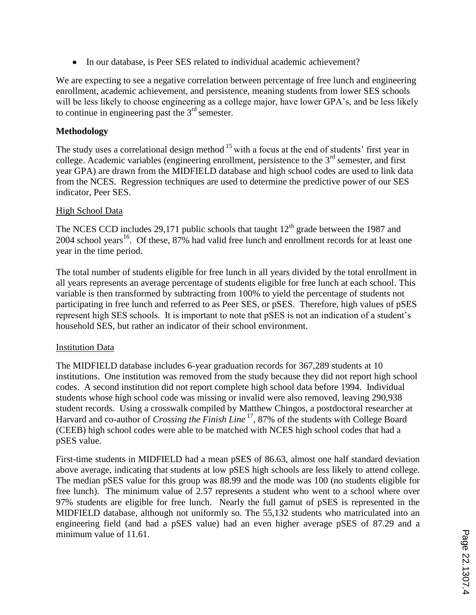• In our database, is Peer SES related to individual academic achievement?

We are expecting to see a negative correlation between percentage of free lunch and engineering enrollment, academic achievement, and persistence, meaning students from lower SES schools will be less likely to choose engineering as a college major, have lower GPA's, and be less likely to continue in engineering past the  $3<sup>rd</sup>$  semester.

# **Methodology**

The study uses a correlational design method  $15$  with a focus at the end of students' first year in college. Academic variables (engineering enrollment, persistence to the  $3<sup>rd</sup>$  semester, and first year GPA) are drawn from the MIDFIELD database and high school codes are used to link data from the NCES. Regression techniques are used to determine the predictive power of our SES indicator, Peer SES.

# High School Data

The NCES CCD includes 29,171 public schools that taught  $12<sup>th</sup>$  grade between the 1987 and  $2004$  school years<sup>16</sup>. Of these, 87% had valid free lunch and enrollment records for at least one year in the time period.

The total number of students eligible for free lunch in all years divided by the total enrollment in all years represents an average percentage of students eligible for free lunch at each school. This variable is then transformed by subtracting from 100% to yield the percentage of students not participating in free lunch and referred to as Peer SES, or pSES. Therefore, high values of pSES represent high SES schools. It is important to note that pSES is not an indication of a student's household SES, but rather an indicator of their school environment.

# Institution Data

The MIDFIELD database includes 6-year graduation records for 367,289 students at 10 institutions. One institution was removed from the study because they did not report high school codes. A second institution did not report complete high school data before 1994. Individual students whose high school code was missing or invalid were also removed, leaving 290,938 student records. Using a crosswalk compiled by Matthew Chingos, a postdoctoral researcher at Harvard and co-author of *Crossing the Finish Line* <sup>17</sup>, 87% of the students with College Board (CEEB) high school codes were able to be matched with NCES high school codes that had a pSES value.

First-time students in MIDFIELD had a mean pSES of 86.63, almost one half standard deviation above average, indicating that students at low pSES high schools are less likely to attend college. The median pSES value for this group was 88.99 and the mode was 100 (no students eligible for free lunch). The minimum value of 2.57 represents a student who went to a school where over 97% students are eligible for free lunch. Nearly the full gamut of pSES is represented in the MIDFIELD database, although not uniformly so. The 55,132 students who matriculated into an engineering field (and had a pSES value) had an even higher average pSES of 87.29 and a minimum value of 11.61.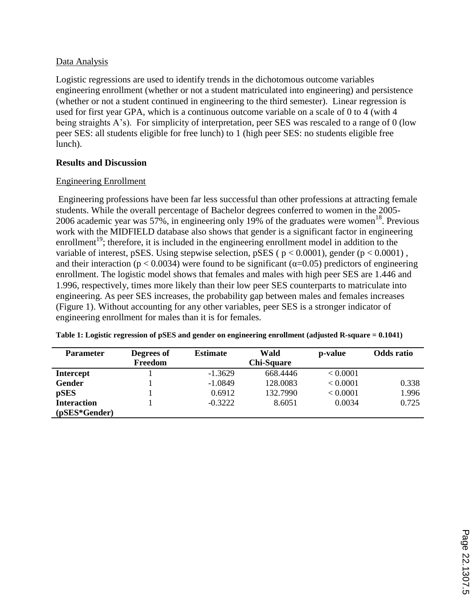## Data Analysis

Logistic regressions are used to identify trends in the dichotomous outcome variables engineering enrollment (whether or not a student matriculated into engineering) and persistence (whether or not a student continued in engineering to the third semester). Linear regression is used for first year GPA, which is a continuous outcome variable on a scale of 0 to 4 (with 4 being straights A's). For simplicity of interpretation, peer SES was rescaled to a range of 0 (low peer SES: all students eligible for free lunch) to 1 (high peer SES: no students eligible free lunch).

# **Results and Discussion**

# Engineering Enrollment

Engineering professions have been far less successful than other professions at attracting female students. While the overall percentage of Bachelor degrees conferred to women in the 2005- 2006 academic year was 57%, in engineering only 19% of the graduates were women<sup>18</sup>. Previous work with the MIDFIELD database also shows that gender is a significant factor in engineering enrollment<sup>19</sup>; therefore, it is included in the engineering enrollment model in addition to the variable of interest, pSES. Using stepwise selection, pSES ( $p < 0.0001$ ), gender ( $p < 0.0001$ ), and their interaction ( $p < 0.0034$ ) were found to be significant ( $\alpha = 0.05$ ) predictors of engineering enrollment. The logistic model shows that females and males with high peer SES are 1.446 and 1.996, respectively, times more likely than their low peer SES counterparts to matriculate into engineering. As peer SES increases, the probability gap between males and females increases (Figure 1). Without accounting for any other variables, peer SES is a stronger indicator of engineering enrollment for males than it is for females.

| <b>Parameter</b>   | Degrees of<br>Freedom | <b>Estimate</b> | Wald              | p-value  | Odds ratio |
|--------------------|-----------------------|-----------------|-------------------|----------|------------|
|                    |                       |                 | <b>Chi-Square</b> |          |            |
| <b>Intercept</b>   |                       | $-1.3629$       | 668,4446          | < 0.0001 |            |
| Gender             |                       | $-1.0849$       | 128,0083          | < 0.0001 | 0.338      |
| <b>pSES</b>        |                       | 0.6912          | 132.7990          | < 0.0001 | 1.996      |
| <b>Interaction</b> |                       | $-0.3222$       | 8.6051            | 0.0034   | 0.725      |
| (pSES*Gender)      |                       |                 |                   |          |            |

**Table 1: Logistic regression of pSES and gender on engineering enrollment (adjusted R-square = 0.1041)**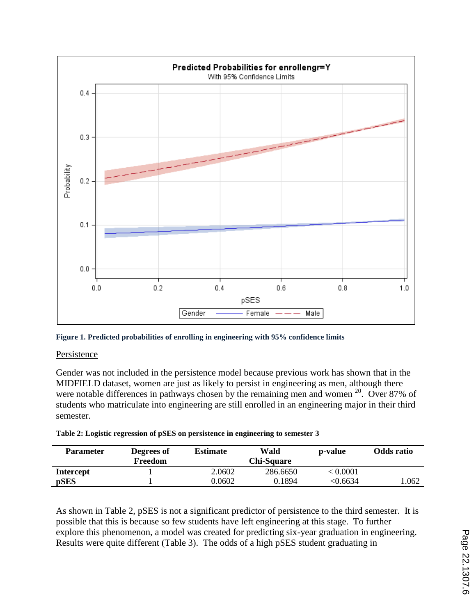

**Figure 1. Predicted probabilities of enrolling in engineering with 95% confidence limits**

### Persistence

Gender was not included in the persistence model because previous work has shown that in the MIDFIELD dataset, women are just as likely to persist in engineering as men, although there were notable differences in pathways chosen by the remaining men and women <sup>20</sup>. Over 87% of students who matriculate into engineering are still enrolled in an engineering major in their third semester.

| <b>Parameter</b> | Degrees of<br>Freedom | <b>Estimate</b> | Wald<br><b>Chi-Square</b> | p-value  | <b>Odds</b> ratio |
|------------------|-----------------------|-----------------|---------------------------|----------|-------------------|
| <b>Intercept</b> |                       | 2.0602          | 286.6650                  | < 0.0001 |                   |
| <b>pSES</b>      |                       | 0.0602          | 0.1894                    | < 0.6634 | .062              |

As shown in Table 2, pSES is not a significant predictor of persistence to the third semester. It is possible that this is because so few students have left engineering at this stage. To further explore this phenomenon, a model was created for predicting six-year graduation in engineering. Results were quite different (Table 3). The odds of a high pSES student graduating in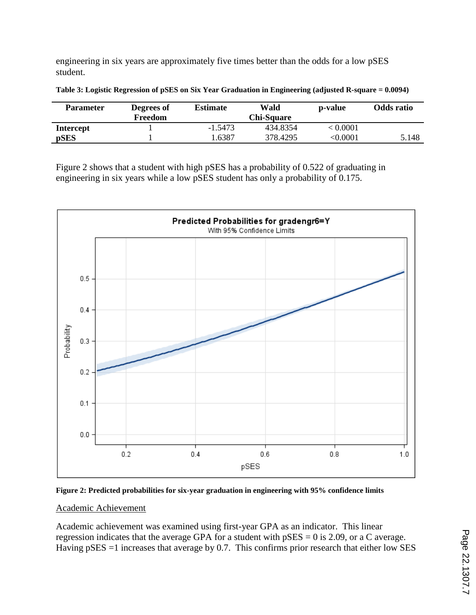engineering in six years are approximately five times better than the odds for a low pSES student.

| <b>Parameter</b> | Degrees of<br>Freedom | <b>Estimate</b> | Wald<br>Chi-Square | p-value  | Odds ratio |
|------------------|-----------------------|-----------------|--------------------|----------|------------|
| <b>Intercept</b> |                       | $-1.5473$       | 434.8354           | < 0.0001 |            |
| pSES             |                       | .6387           | 378.4295           | <0.0001  | 5.148      |

**Table 3: Logistic Regression of pSES on Six Year Graduation in Engineering (adjusted R-square = 0.0094)**

Figure 2 shows that a student with high pSES has a probability of 0.522 of graduating in engineering in six years while a low pSES student has only a probability of 0.175.



**Figure 2: Predicted probabilities for six-year graduation in engineering with 95% confidence limits**

Academic Achievement

Academic achievement was examined using first-year GPA as an indicator. This linear regression indicates that the average GPA for a student with pSES = 0 is 2.09, or a C average. Having pSES =1 increases that average by 0.7. This confirms prior research that either low SES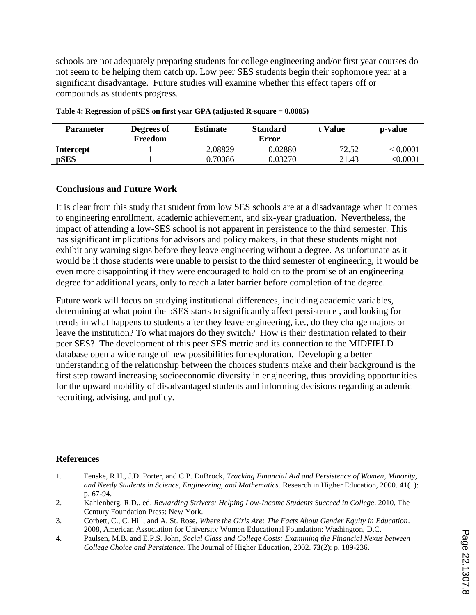schools are not adequately preparing students for college engineering and/or first year courses do not seem to be helping them catch up. Low peer SES students begin their sophomore year at a significant disadvantage. Future studies will examine whether this effect tapers off or compounds as students progress.

| <b>Parameter</b> | Degrees of<br>Freedom | <b>Estimate</b> | <b>Standard</b><br>Error | t Value | p-value       |
|------------------|-----------------------|-----------------|--------------------------|---------|---------------|
| <b>Intercept</b> |                       | 2.08829         | 0.02880                  | 72.52   | < 0.0001      |
| <b>pSES</b>      |                       | 0.70086         | 0.03270                  | 21.43   | $<\!\!0.0001$ |

**Table 4: Regression of pSES on first year GPA (adjusted R-square = 0.0085)**

### **Conclusions and Future Work**

It is clear from this study that student from low SES schools are at a disadvantage when it comes to engineering enrollment, academic achievement, and six-year graduation. Nevertheless, the impact of attending a low-SES school is not apparent in persistence to the third semester. This has significant implications for advisors and policy makers, in that these students might not exhibit any warning signs before they leave engineering without a degree. As unfortunate as it would be if those students were unable to persist to the third semester of engineering, it would be even more disappointing if they were encouraged to hold on to the promise of an engineering degree for additional years, only to reach a later barrier before completion of the degree.

Future work will focus on studying institutional differences, including academic variables, determining at what point the pSES starts to significantly affect persistence , and looking for trends in what happens to students after they leave engineering, i.e., do they change majors or leave the institution? To what majors do they switch? How is their destination related to their peer SES? The development of this peer SES metric and its connection to the MIDFIELD database open a wide range of new possibilities for exploration. Developing a better understanding of the relationship between the choices students make and their background is the first step toward increasing socioeconomic diversity in engineering, thus providing opportunities for the upward mobility of disadvantaged students and informing decisions regarding academic recruiting, advising, and policy.

### **References**

- 1. Fenske, R.H., J.D. Porter, and C.P. DuBrock, *Tracking Financial Aid and Persistence of Women, Minority, and Needy Students in Science, Engineering, and Mathematics.* Research in Higher Education, 2000. **41**(1): p. 67-94.
- 2. Kahlenberg, R.D., ed. *Rewarding Strivers: Helping Low-Income Students Succeed in College*. 2010, The Century Foundation Press: New York.
- 3. Corbett, C., C. Hill, and A. St. Rose, *Where the Girls Are: The Facts About Gender Equity in Education*. 2008, American Association for University Women Educational Foundation: Washington, D.C.
- 4. Paulsen, M.B. and E.P.S. John, *Social Class and College Costs: Examining the Financial Nexus between College Choice and Persistence.* The Journal of Higher Education, 2002. **73**(2): p. 189-236.